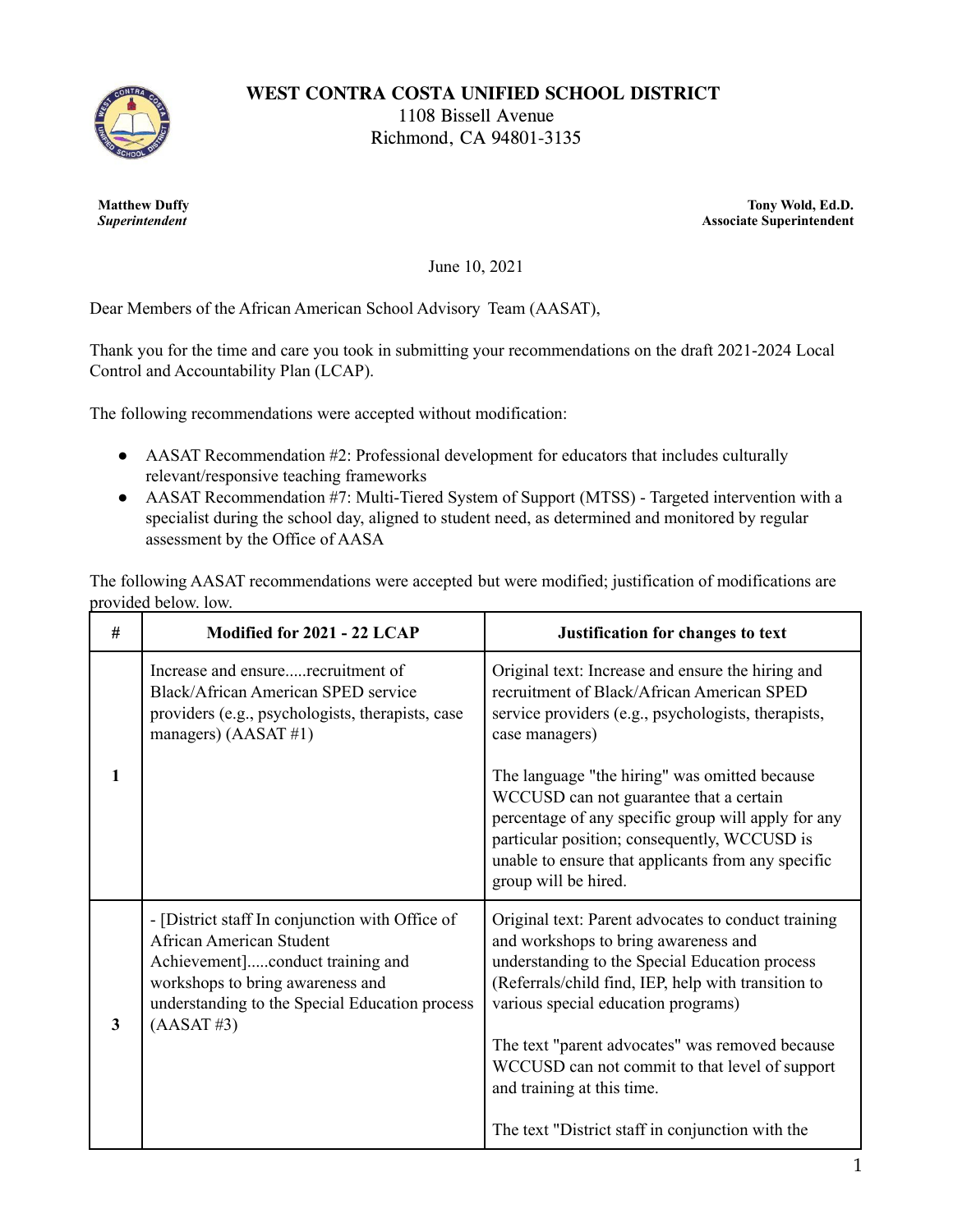

**WEST CONTRA COSTA UNIFIED SCHOOL DISTRICT**

1108 Bissell Avenue Richmond, CA 94801-3135

**Matthew Duffy** *Superintendent*

**Tony Wold, Ed.D. Associate Superintendent**

June 10, 2021

Dear Members of the African American School Advisory Team (AASAT),

Thank you for the time and care you took in submitting your recommendations on the draft 2021-2024 Local Control and Accountability Plan (LCAP).

The following recommendations were accepted without modification:

- AASAT Recommendation #2: Professional development for educators that includes culturally relevant/responsive teaching frameworks
- AASAT Recommendation #7: Multi-Tiered System of Support (MTSS) Targeted intervention with a specialist during the school day, aligned to student need, as determined and monitored by regular assessment by the Office of AASA

The following AASAT recommendations were accepted but were modified; justification of modifications are provided below. low.

| # | Modified for 2021 - 22 LCAP                                                                                                                                                                                                   | Justification for changes to text                                                                                                                                                                                                                                                                                                                                                                                                  |
|---|-------------------------------------------------------------------------------------------------------------------------------------------------------------------------------------------------------------------------------|------------------------------------------------------------------------------------------------------------------------------------------------------------------------------------------------------------------------------------------------------------------------------------------------------------------------------------------------------------------------------------------------------------------------------------|
|   | Increase and ensurerecruitment of<br>Black/African American SPED service<br>providers (e.g., psychologists, therapists, case<br>managers) (AASAT#1)                                                                           | Original text: Increase and ensure the hiring and<br>recruitment of Black/African American SPED<br>service providers (e.g., psychologists, therapists,<br>case managers)                                                                                                                                                                                                                                                           |
| 1 |                                                                                                                                                                                                                               | The language "the hiring" was omitted because<br>WCCUSD can not guarantee that a certain<br>percentage of any specific group will apply for any<br>particular position; consequently, WCCUSD is<br>unable to ensure that applicants from any specific<br>group will be hired.                                                                                                                                                      |
| 3 | - [District staff In conjunction with Office of<br><b>African American Student</b><br>Achievement]conduct training and<br>workshops to bring awareness and<br>understanding to the Special Education process<br>$(AASAT \#3)$ | Original text: Parent advocates to conduct training<br>and workshops to bring awareness and<br>understanding to the Special Education process<br>(Referrals/child find, IEP, help with transition to<br>various special education programs)<br>The text "parent advocates" was removed because<br>WCCUSD can not commit to that level of support<br>and training at this time.<br>The text "District staff in conjunction with the |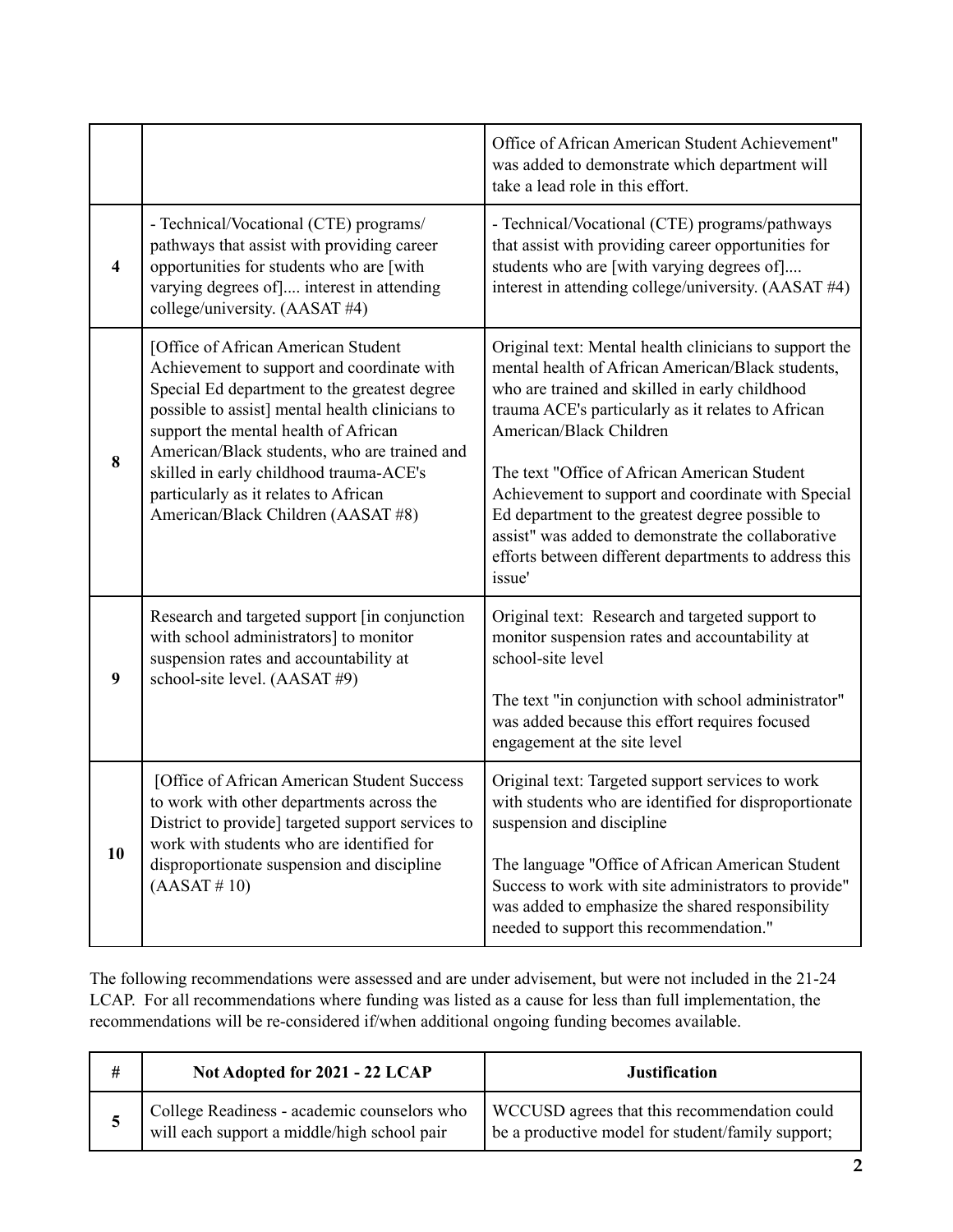|                         |                                                                                                                                                                                                                                                                                                                                                                                                        | Office of African American Student Achievement"<br>was added to demonstrate which department will<br>take a lead role in this effort.                                                                                                                                                                                                                                                                                                                                                                                             |
|-------------------------|--------------------------------------------------------------------------------------------------------------------------------------------------------------------------------------------------------------------------------------------------------------------------------------------------------------------------------------------------------------------------------------------------------|-----------------------------------------------------------------------------------------------------------------------------------------------------------------------------------------------------------------------------------------------------------------------------------------------------------------------------------------------------------------------------------------------------------------------------------------------------------------------------------------------------------------------------------|
| $\overline{\mathbf{4}}$ | - Technical/Vocational (CTE) programs/<br>pathways that assist with providing career<br>opportunities for students who are [with<br>varying degrees of] interest in attending<br>college/university. (AASAT #4)                                                                                                                                                                                        | - Technical/Vocational (CTE) programs/pathways<br>that assist with providing career opportunities for<br>students who are [with varying degrees of]<br>interest in attending college/university. (AASAT #4)                                                                                                                                                                                                                                                                                                                       |
| 8                       | [Office of African American Student<br>Achievement to support and coordinate with<br>Special Ed department to the greatest degree<br>possible to assist] mental health clinicians to<br>support the mental health of African<br>American/Black students, who are trained and<br>skilled in early childhood trauma-ACE's<br>particularly as it relates to African<br>American/Black Children (AASAT #8) | Original text: Mental health clinicians to support the<br>mental health of African American/Black students,<br>who are trained and skilled in early childhood<br>trauma ACE's particularly as it relates to African<br>American/Black Children<br>The text "Office of African American Student<br>Achievement to support and coordinate with Special<br>Ed department to the greatest degree possible to<br>assist" was added to demonstrate the collaborative<br>efforts between different departments to address this<br>issue' |
| 9                       | Research and targeted support [in conjunction<br>with school administrators] to monitor<br>suspension rates and accountability at<br>school-site level. (AASAT #9)                                                                                                                                                                                                                                     | Original text: Research and targeted support to<br>monitor suspension rates and accountability at<br>school-site level<br>The text "in conjunction with school administrator"<br>was added because this effort requires focused<br>engagement at the site level                                                                                                                                                                                                                                                                   |
| 10                      | [Office of African American Student Success<br>to work with other departments across the<br>District to provide] targeted support services to<br>work with students who are identified for<br>disproportionate suspension and discipline<br>(AASAT # 10)                                                                                                                                               | Original text: Targeted support services to work<br>with students who are identified for disproportionate<br>suspension and discipline<br>The language "Office of African American Student<br>Success to work with site administrators to provide"<br>was added to emphasize the shared responsibility<br>needed to support this recommendation."                                                                                                                                                                                 |

The following recommendations were assessed and are under advisement, but were not included in the 21-24 LCAP. For all recommendations where funding was listed as a cause for less than full implementation, the recommendations will be re-considered if/when additional ongoing funding becomes available.

|   | Not Adopted for 2021 - 22 LCAP                                                             | <b>Justification</b>                                                                              |
|---|--------------------------------------------------------------------------------------------|---------------------------------------------------------------------------------------------------|
| ◡ | College Readiness - academic counselors who<br>will each support a middle/high school pair | WCCUSD agrees that this recommendation could<br>be a productive model for student/family support; |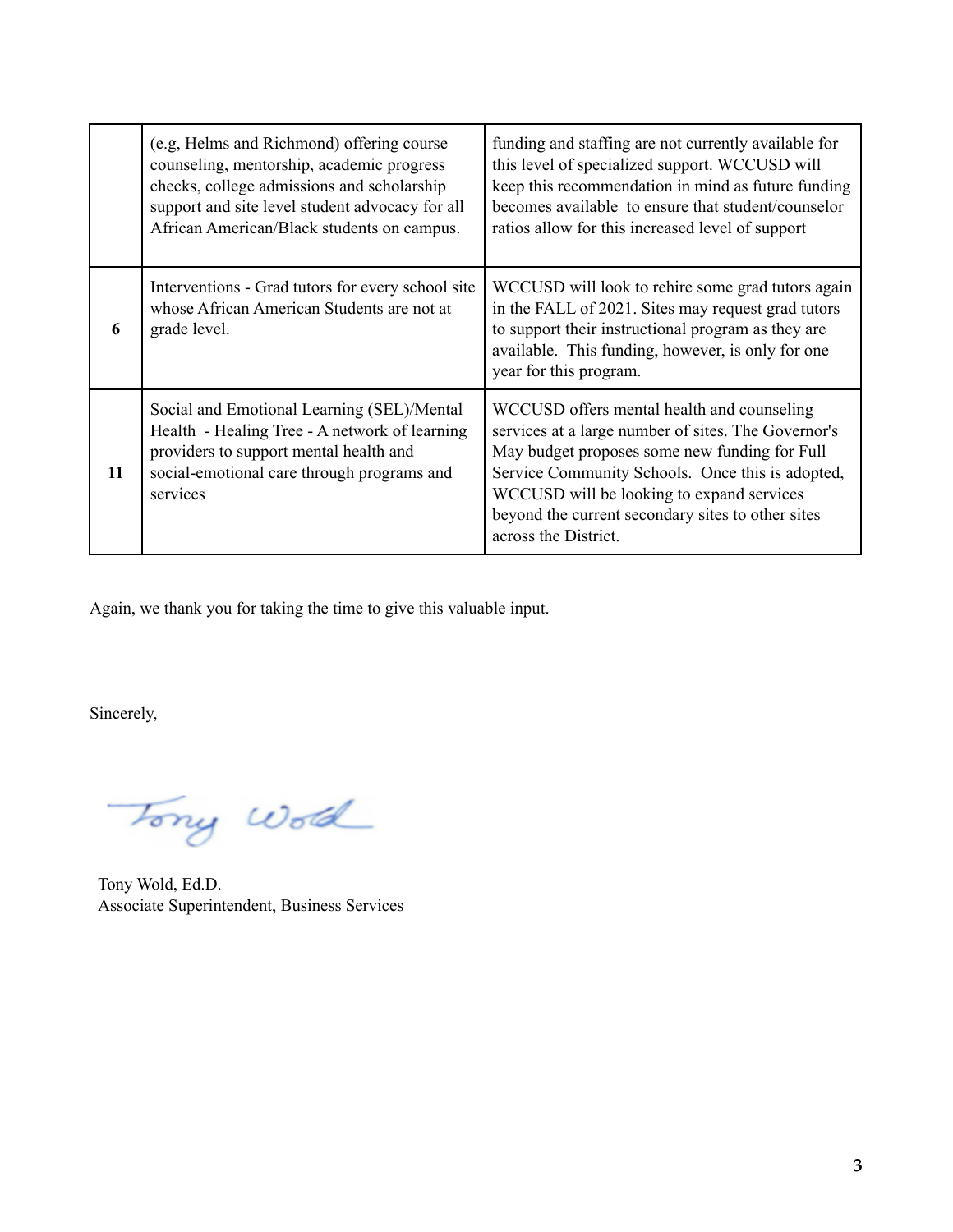|    | (e.g. Helms and Richmond) offering course<br>counseling, mentorship, academic progress<br>checks, college admissions and scholarship<br>support and site level student advocacy for all<br>African American/Black students on campus. | funding and staffing are not currently available for<br>this level of specialized support. WCCUSD will<br>keep this recommendation in mind as future funding<br>becomes available to ensure that student/counselor<br>ratios allow for this increased level of support                                                           |
|----|---------------------------------------------------------------------------------------------------------------------------------------------------------------------------------------------------------------------------------------|----------------------------------------------------------------------------------------------------------------------------------------------------------------------------------------------------------------------------------------------------------------------------------------------------------------------------------|
| 6  | Interventions - Grad tutors for every school site<br>whose African American Students are not at<br>grade level.                                                                                                                       | WCCUSD will look to rehire some grad tutors again<br>in the FALL of 2021. Sites may request grad tutors<br>to support their instructional program as they are<br>available. This funding, however, is only for one<br>year for this program.                                                                                     |
| 11 | Social and Emotional Learning (SEL)/Mental<br>Health - Healing Tree - A network of learning<br>providers to support mental health and<br>social-emotional care through programs and<br>services                                       | WCCUSD offers mental health and counseling<br>services at a large number of sites. The Governor's<br>May budget proposes some new funding for Full<br>Service Community Schools. Once this is adopted,<br>WCCUSD will be looking to expand services<br>beyond the current secondary sites to other sites<br>across the District. |

Again, we thank you for taking the time to give this valuable input.

Sincerely,

Tony World

Tony Wold, Ed.D. Associate Superintendent, Business Services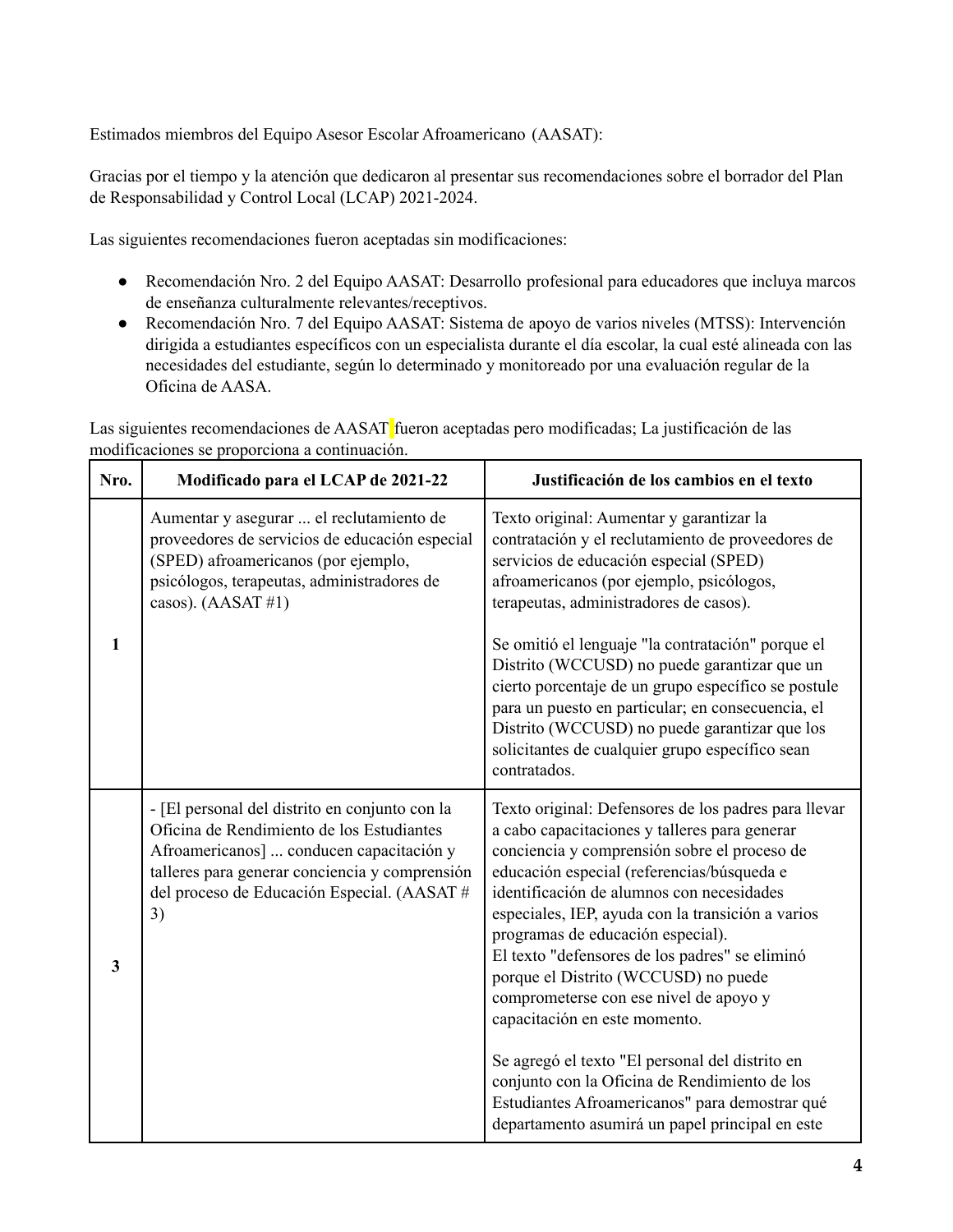Estimados miembros del Equipo Asesor Escolar Afroamericano (AASAT):

Gracias por el tiempo y la atención que dedicaron al presentar sus recomendaciones sobre el borrador del Plan de Responsabilidad y Control Local (LCAP) 2021-2024.

Las siguientes recomendaciones fueron aceptadas sin modificaciones:

- Recomendación Nro. 2 del Equipo AASAT: Desarrollo profesional para educadores que incluya marcos de enseñanza culturalmente relevantes/receptivos.
- Recomendación Nro. 7 del Equipo AASAT: Sistema de apoyo de varios niveles (MTSS): Intervención dirigida a estudiantes específicos con un especialista durante el día escolar, la cual esté alineada con las necesidades del estudiante, según lo determinado y monitoreado por una evaluación regular de la Oficina de AASA.

Las siguientes recomendaciones de AASAT fueron aceptadas pero modificadas; La justificación de las modificaciones se proporciona a continuación.

| Nro.         | Modificado para el LCAP de 2021-22                                                                                                                                                                                                            | Justificación de los cambios en el texto                                                                                                                                                                                                                                                                                                                                                                                                                                                                                                                                                                                                                                                                                 |
|--------------|-----------------------------------------------------------------------------------------------------------------------------------------------------------------------------------------------------------------------------------------------|--------------------------------------------------------------------------------------------------------------------------------------------------------------------------------------------------------------------------------------------------------------------------------------------------------------------------------------------------------------------------------------------------------------------------------------------------------------------------------------------------------------------------------------------------------------------------------------------------------------------------------------------------------------------------------------------------------------------------|
| 1            | Aumentar y asegurar  el reclutamiento de<br>proveedores de servicios de educación especial<br>(SPED) afroamericanos (por ejemplo,<br>psicólogos, terapeutas, administradores de<br>casos). (AASAT#1)                                          | Texto original: Aumentar y garantizar la<br>contratación y el reclutamiento de proveedores de<br>servicios de educación especial (SPED)<br>afroamericanos (por ejemplo, psicólogos,<br>terapeutas, administradores de casos).<br>Se omitió el lenguaje "la contratación" porque el                                                                                                                                                                                                                                                                                                                                                                                                                                       |
|              |                                                                                                                                                                                                                                               | Distrito (WCCUSD) no puede garantizar que un<br>cierto porcentaje de un grupo específico se postule<br>para un puesto en particular; en consecuencia, el<br>Distrito (WCCUSD) no puede garantizar que los<br>solicitantes de cualquier grupo específico sean<br>contratados.                                                                                                                                                                                                                                                                                                                                                                                                                                             |
| $\mathbf{3}$ | - [El personal del distrito en conjunto con la<br>Oficina de Rendimiento de los Estudiantes<br>Afroamericanos]  conducen capacitación y<br>talleres para generar conciencia y comprensión<br>del proceso de Educación Especial. (AASAT#<br>3) | Texto original: Defensores de los padres para llevar<br>a cabo capacitaciones y talleres para generar<br>conciencia y comprensión sobre el proceso de<br>educación especial (referencias/búsqueda e<br>identificación de alumnos con necesidades<br>especiales, IEP, ayuda con la transición a varios<br>programas de educación especial).<br>El texto "defensores de los padres" se eliminó<br>porque el Distrito (WCCUSD) no puede<br>comprometerse con ese nivel de apoyo y<br>capacitación en este momento.<br>Se agregó el texto "El personal del distrito en<br>conjunto con la Oficina de Rendimiento de los<br>Estudiantes Afroamericanos" para demostrar qué<br>departamento asumirá un papel principal en este |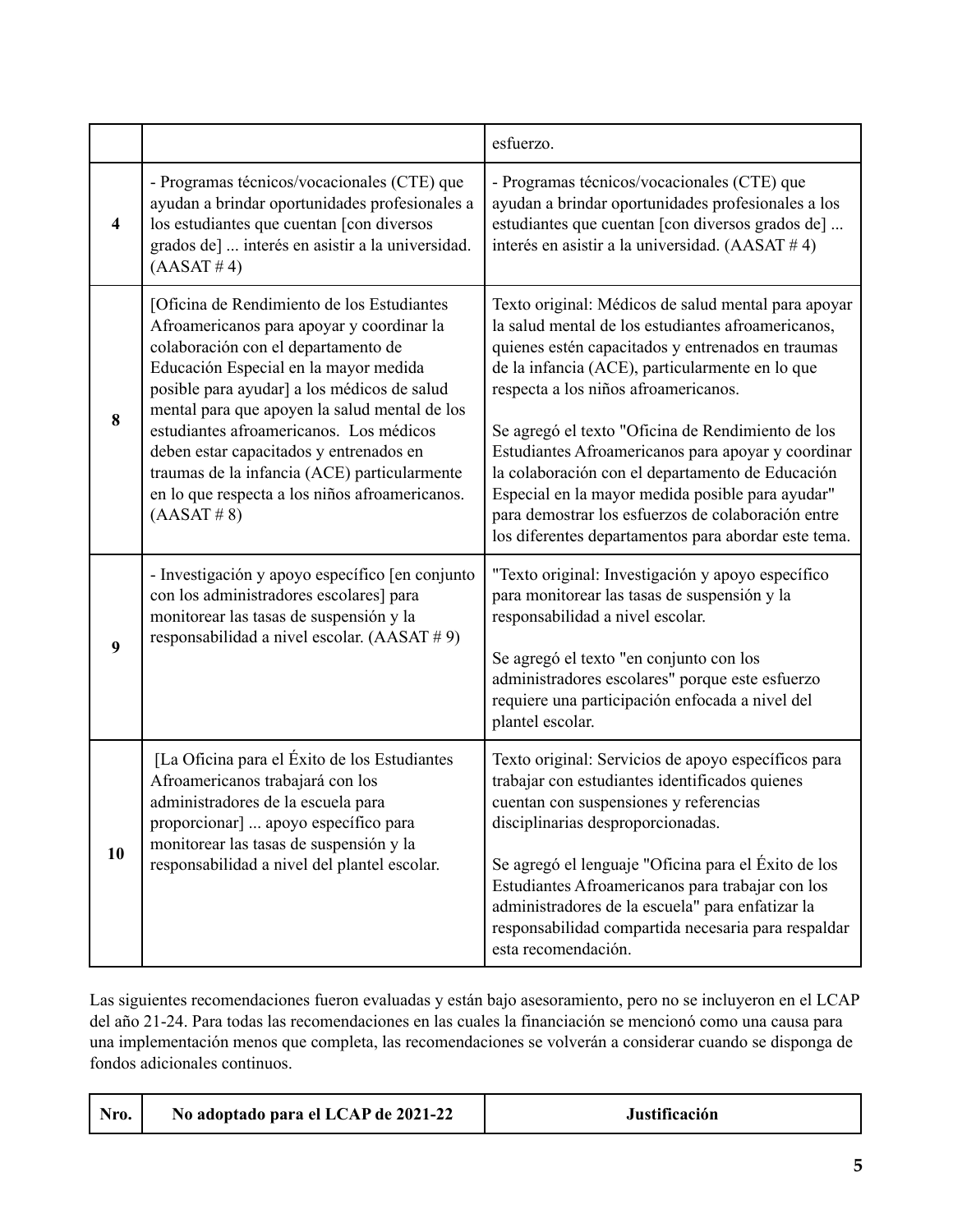|    |                                                                                                                                                                                                                                                                                                                                                                                                                                                                                | esfuerzo.                                                                                                                                                                                                                                                                                                                                                                                                                                                                                                                                                                                  |
|----|--------------------------------------------------------------------------------------------------------------------------------------------------------------------------------------------------------------------------------------------------------------------------------------------------------------------------------------------------------------------------------------------------------------------------------------------------------------------------------|--------------------------------------------------------------------------------------------------------------------------------------------------------------------------------------------------------------------------------------------------------------------------------------------------------------------------------------------------------------------------------------------------------------------------------------------------------------------------------------------------------------------------------------------------------------------------------------------|
| 4  | - Programas técnicos/vocacionales (CTE) que<br>ayudan a brindar oportunidades profesionales a<br>los estudiantes que cuentan [con diversos<br>grados de]  interés en asistir a la universidad.<br>(AASAT #4)                                                                                                                                                                                                                                                                   | - Programas técnicos/vocacionales (CTE) que<br>ayudan a brindar oportunidades profesionales a los<br>estudiantes que cuentan [con diversos grados de]<br>interés en asistir a la universidad. (AASAT #4)                                                                                                                                                                                                                                                                                                                                                                                   |
| 8  | [Oficina de Rendimiento de los Estudiantes<br>Afroamericanos para apoyar y coordinar la<br>colaboración con el departamento de<br>Educación Especial en la mayor medida<br>posible para ayudar] a los médicos de salud<br>mental para que apoyen la salud mental de los<br>estudiantes afroamericanos. Los médicos<br>deben estar capacitados y entrenados en<br>traumas de la infancia (ACE) particularmente<br>en lo que respecta a los niños afroamericanos.<br>(AASAT # 8) | Texto original: Médicos de salud mental para apoyar<br>la salud mental de los estudiantes afroamericanos,<br>quienes estén capacitados y entrenados en traumas<br>de la infancia (ACE), particularmente en lo que<br>respecta a los niños afroamericanos.<br>Se agregó el texto "Oficina de Rendimiento de los<br>Estudiantes Afroamericanos para apoyar y coordinar<br>la colaboración con el departamento de Educación<br>Especial en la mayor medida posible para ayudar"<br>para demostrar los esfuerzos de colaboración entre<br>los diferentes departamentos para abordar este tema. |
| 9  | - Investigación y apoyo específico [en conjunto<br>con los administradores escolares] para<br>monitorear las tasas de suspensión y la<br>responsabilidad a nivel escolar. (AASAT #9)                                                                                                                                                                                                                                                                                           | "Texto original: Investigación y apoyo específico<br>para monitorear las tasas de suspensión y la<br>responsabilidad a nivel escolar.<br>Se agregó el texto "en conjunto con los<br>administradores escolares" porque este esfuerzo<br>requiere una participación enfocada a nivel del<br>plantel escolar.                                                                                                                                                                                                                                                                                 |
| 10 | [La Oficina para el Éxito de los Estudiantes<br>Afroamericanos trabajará con los<br>administradores de la escuela para<br>proporcionar]  apoyo específico para<br>monitorear las tasas de suspensión y la<br>responsabilidad a nivel del plantel escolar.                                                                                                                                                                                                                      | Texto original: Servicios de apoyo específicos para<br>trabajar con estudiantes identificados quienes<br>cuentan con suspensiones y referencias<br>disciplinarias desproporcionadas.<br>Se agregó el lenguaje "Oficina para el Éxito de los<br>Estudiantes Afroamericanos para trabajar con los<br>administradores de la escuela" para enfatizar la<br>responsabilidad compartida necesaria para respaldar<br>esta recomendación.                                                                                                                                                          |

Las siguientes recomendaciones fueron evaluadas y están bajo asesoramiento, pero no se incluyeron en el LCAP del año 21-24. Para todas las recomendaciones en las cuales la financiación se mencionó como una causa para una implementación menos que completa, las recomendaciones se volverán a considerar cuando se disponga de fondos adicionales continuos.

| Nro.<br>No adoptado para el LCAP de 2021-22<br>Justificación |
|--------------------------------------------------------------|
|--------------------------------------------------------------|